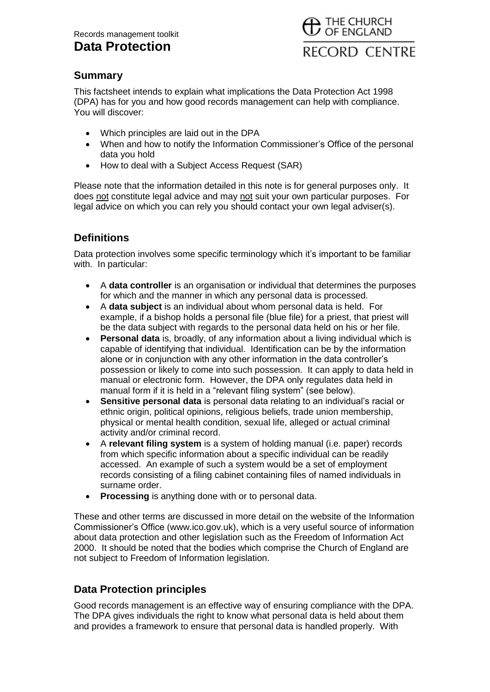# **Data Protection**



## **Summary**

This factsheet intends to explain what implications the Data Protection Act 1998 (DPA) has for you and how good records management can help with compliance. You will discover:

- Which principles are laid out in the DPA
- When and how to notify the Information Commissioner's Office of the personal data you hold
- How to deal with a Subject Access Request (SAR)

Please note that the information detailed in this note is for general purposes only. It does not constitute legal advice and may not suit your own particular purposes. For legal advice on which you can rely you should contact your own legal adviser(s).

# **Definitions**

Data protection involves some specific terminology which it's important to be familiar with. In particular:

- A **data controller** is an organisation or individual that determines the purposes for which and the manner in which any personal data is processed.
- A **data subject** is an individual about whom personal data is held. For example, if a bishop holds a personal file (blue file) for a priest, that priest will be the data subject with regards to the personal data held on his or her file.
- **Personal data** is, broadly, of any information about a living individual which is capable of identifying that individual. Identification can be by the information alone or in conjunction with any other information in the data controller's possession or likely to come into such possession. It can apply to data held in manual or electronic form. However, the DPA only regulates data held in manual form if it is held in a "relevant filing system" (see below).
- **Sensitive personal data** is personal data relating to an individual's racial or ethnic origin, political opinions, religious beliefs, trade union membership, physical or mental health condition, sexual life, alleged or actual criminal activity and/or criminal record.
- A **relevant filing system** is a system of holding manual (i.e. paper) records from which specific information about a specific individual can be readily accessed. An example of such a system would be a set of employment records consisting of a filing cabinet containing files of named individuals in surname order.
- **Processing** is anything done with or to personal data.

These and other terms are discussed in more detail on the website of the Information Commissioner's Office (www.ico.gov.uk), which is a very useful source of information about data protection and other legislation such as the Freedom of Information Act 2000. It should be noted that the bodies which comprise the Church of England are not subject to Freedom of Information legislation.

## **Data Protection principles**

Good records management is an effective way of ensuring compliance with the DPA. The DPA gives individuals the right to know what personal data is held about them and provides a framework to ensure that personal data is handled properly. With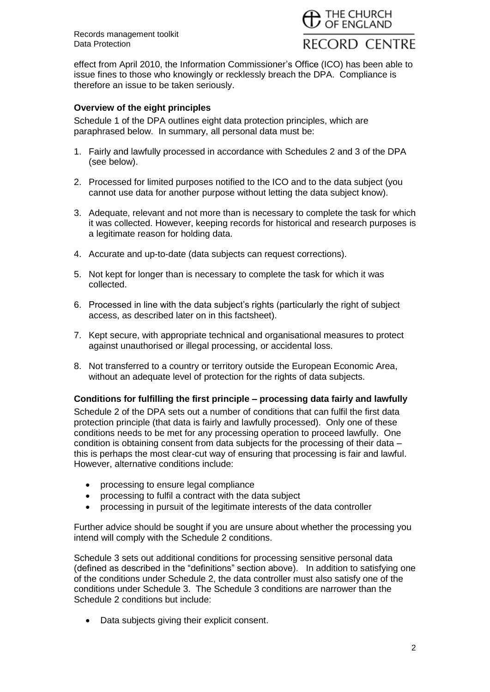

effect from April 2010, the Information Commissioner's Office (ICO) has been able to issue fines to those who knowingly or recklessly breach the DPA. Compliance is therefore an issue to be taken seriously.

#### **Overview of the eight principles**

Schedule 1 of the DPA outlines eight data protection principles, which are paraphrased below. In summary, all personal data must be:

- 1. Fairly and lawfully processed in accordance with Schedules 2 and 3 of the DPA (see below).
- 2. Processed for limited purposes notified to the ICO and to the data subject (you cannot use data for another purpose without letting the data subject know).
- 3. Adequate, relevant and not more than is necessary to complete the task for which it was collected. However, keeping records for historical and research purposes is a legitimate reason for holding data.
- 4. Accurate and up-to-date (data subjects can request corrections).
- 5. Not kept for longer than is necessary to complete the task for which it was collected.
- 6. Processed in line with the data subject's rights (particularly the right of subject access, as described later on in this factsheet).
- 7. Kept secure, with appropriate technical and organisational measures to protect against unauthorised or illegal processing, or accidental loss.
- 8. Not transferred to a country or territory outside the European Economic Area, without an adequate level of protection for the rights of data subjects.

#### **Conditions for fulfilling the first principle – processing data fairly and lawfully**

Schedule 2 of the DPA sets out a number of conditions that can fulfil the first data protection principle (that data is fairly and lawfully processed). Only one of these conditions needs to be met for any processing operation to proceed lawfully. One condition is obtaining consent from data subjects for the processing of their data – this is perhaps the most clear-cut way of ensuring that processing is fair and lawful. However, alternative conditions include:

- processing to ensure legal compliance
- processing to fulfil a contract with the data subject
- processing in pursuit of the legitimate interests of the data controller

Further advice should be sought if you are unsure about whether the processing you intend will comply with the Schedule 2 conditions.

Schedule 3 sets out additional conditions for processing sensitive personal data (defined as described in the "definitions" section above). In addition to satisfying one of the conditions under Schedule 2, the data controller must also satisfy one of the conditions under Schedule 3. The Schedule 3 conditions are narrower than the Schedule 2 conditions but include:

• Data subjects giving their explicit consent.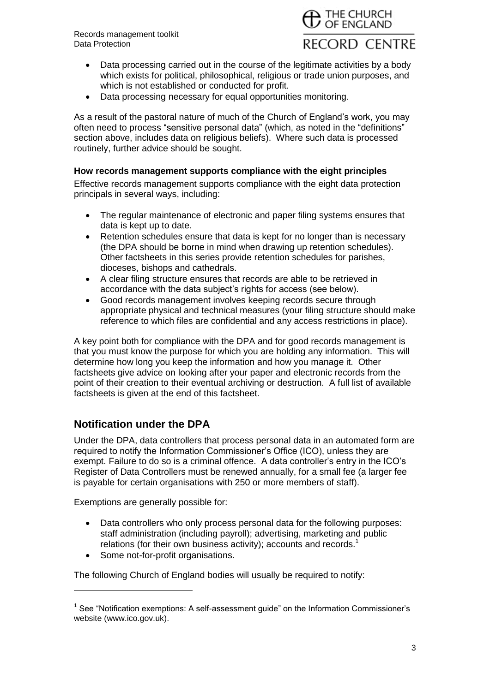

- Data processing carried out in the course of the legitimate activities by a body which exists for political, philosophical, religious or trade union purposes, and which is not established or conducted for profit.
- Data processing necessary for equal opportunities monitoring.

As a result of the pastoral nature of much of the Church of England's work, you may often need to process "sensitive personal data" (which, as noted in the "definitions" section above, includes data on religious beliefs). Where such data is processed routinely, further advice should be sought.

#### **How records management supports compliance with the eight principles**

Effective records management supports compliance with the eight data protection principals in several ways, including:

- The regular maintenance of electronic and paper filing systems ensures that data is kept up to date.
- Retention schedules ensure that data is kept for no longer than is necessary (the DPA should be borne in mind when drawing up retention schedules). Other factsheets in this series provide retention schedules for parishes, dioceses, bishops and cathedrals.
- A clear filing structure ensures that records are able to be retrieved in accordance with the data subject's rights for access (see below).
- Good records management involves keeping records secure through appropriate physical and technical measures (your filing structure should make reference to which files are confidential and any access restrictions in place).

A key point both for compliance with the DPA and for good records management is that you must know the purpose for which you are holding any information. This will determine how long you keep the information and how you manage it. Other factsheets give advice on looking after your paper and electronic records from the point of their creation to their eventual archiving or destruction. A full list of available factsheets is given at the end of this factsheet.

## **Notification under the DPA**

Under the DPA, data controllers that process personal data in an automated form are required to notify the Information Commissioner's Office (ICO), unless they are exempt. Failure to do so is a criminal offence. A data controller's entry in the ICO's Register of Data Controllers must be renewed annually, for a small fee (a larger fee is payable for certain organisations with 250 or more members of staff).

Exemptions are generally possible for:

- Data controllers who only process personal data for the following purposes: staff administration (including payroll); advertising, marketing and public relations (for their own business activity); accounts and records.<sup>1</sup>
- Some not-for-profit organisations.

The following Church of England bodies will usually be required to notify:

<sup>&</sup>lt;sup>1</sup> See "Notification exemptions: A self-assessment guide" on the Information Commissioner's website (www.ico.gov.uk).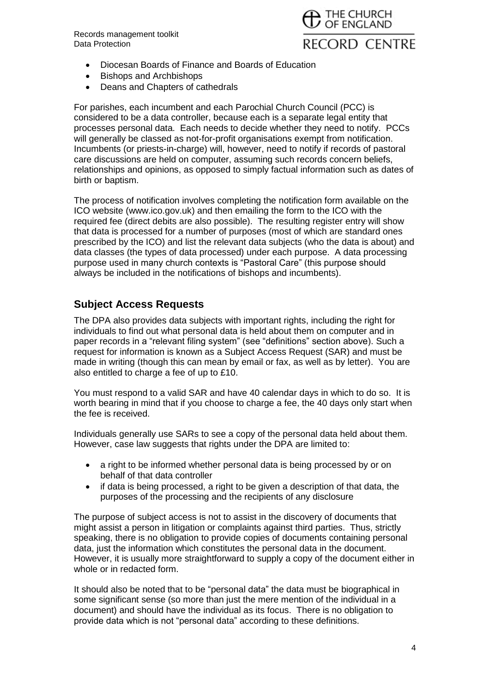Records management toolkit Data Protection



- Diocesan Boards of Finance and Boards of Education
- Bishops and Archbishops
- Deans and Chapters of cathedrals

For parishes, each incumbent and each Parochial Church Council (PCC) is considered to be a data controller, because each is a separate legal entity that processes personal data. Each needs to decide whether they need to notify. PCCs will generally be classed as not-for-profit organisations exempt from notification. Incumbents (or priests-in-charge) will, however, need to notify if records of pastoral care discussions are held on computer, assuming such records concern beliefs, relationships and opinions, as opposed to simply factual information such as dates of birth or baptism.

The process of notification involves completing the notification form available on the ICO website (www.ico.gov.uk) and then emailing the form to the ICO with the required fee (direct debits are also possible). The resulting register entry will show that data is processed for a number of purposes (most of which are standard ones prescribed by the ICO) and list the relevant data subjects (who the data is about) and data classes (the types of data processed) under each purpose. A data processing purpose used in many church contexts is "Pastoral Care" (this purpose should always be included in the notifications of bishops and incumbents).

## **Subject Access Requests**

The DPA also provides data subjects with important rights, including the right for individuals to find out what personal data is held about them on computer and in paper records in a "relevant filing system" (see "definitions" section above). Such a request for information is known as a Subject Access Request (SAR) and must be made in writing (though this can mean by email or fax, as well as by letter). You are also entitled to charge a fee of up to £10.

You must respond to a valid SAR and have 40 calendar days in which to do so. It is worth bearing in mind that if you choose to charge a fee, the 40 days only start when the fee is received.

Individuals generally use SARs to see a copy of the personal data held about them. However, case law suggests that rights under the DPA are limited to:

- a right to be informed whether personal data is being processed by or on behalf of that data controller
- if data is being processed, a right to be given a description of that data, the purposes of the processing and the recipients of any disclosure

The purpose of subject access is not to assist in the discovery of documents that might assist a person in litigation or complaints against third parties. Thus, strictly speaking, there is no obligation to provide copies of documents containing personal data, just the information which constitutes the personal data in the document. However, it is usually more straightforward to supply a copy of the document either in whole or in redacted form.

It should also be noted that to be "personal data" the data must be biographical in some significant sense (so more than just the mere mention of the individual in a document) and should have the individual as its focus. There is no obligation to provide data which is not "personal data" according to these definitions.